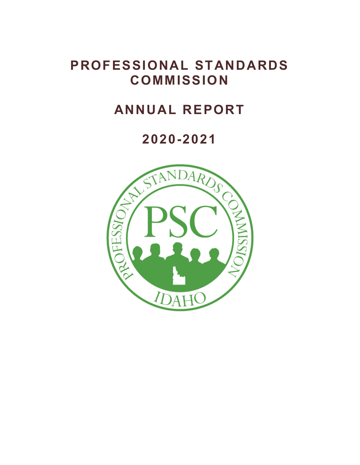# **PROFESSIONAL STANDARDS COMMISSION**

# **ANNUAL REPORT**

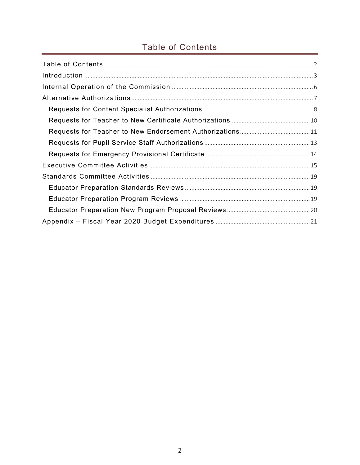# <span id="page-1-0"></span>Table of Contents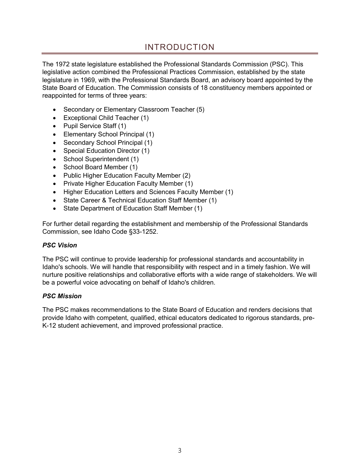## INTRODUCTION

<span id="page-2-0"></span>The 1972 state legislature established the Professional Standards Commission (PSC). This legislative action combined the Professional Practices Commission, established by the state legislature in 1969, with the Professional Standards Board, an advisory board appointed by the State Board of Education. The Commission consists of 18 constituency members appointed or reappointed for terms of three years:

- Secondary or Elementary Classroom Teacher (5)
- Exceptional Child Teacher (1)
- Pupil Service Staff (1)
- Elementary School Principal (1)
- Secondary School Principal (1)
- Special Education Director (1)
- School Superintendent (1)
- School Board Member (1)
- Public Higher Education Faculty Member (2)
- Private Higher Education Faculty Member (1)
- Higher Education Letters and Sciences Faculty Member (1)
- State Career & Technical Education Staff Member (1)
- State Department of Education Staff Member (1)

For further detail regarding the establishment and membership of the Professional Standards Commission, see Idaho Code §33-1252.

#### *PSC Vision*

 Idaho's schools. We will handle that responsibility with respect and in a timely fashion. We will nurture positive relationships and collaborative efforts with a wide range of stakeholders. We will The PSC will continue to provide leadership for professional standards and accountability in be a powerful voice advocating on behalf of Idaho's children.

#### *PSC Mission*

The PSC makes recommendations to the State Board of Education and renders decisions that provide Idaho with competent, qualified, ethical educators dedicated to rigorous standards, pre-K-12 student achievement, and improved professional practice.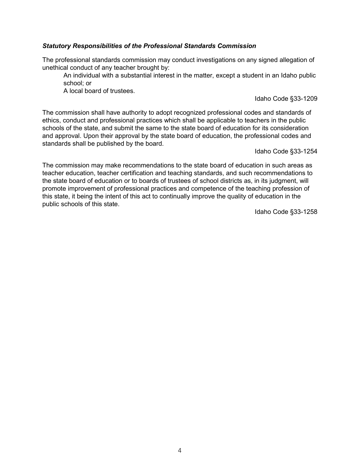#### *Statutory Responsibilities of the Professional Standards Commission*

The professional standards commission may conduct investigations on any signed allegation of unethical conduct of any teacher brought by:

An individual with a substantial interest in the matter, except a student in an Idaho public school; or

A local board of trustees.

Idaho Code §33-1209

The commission shall have authority to adopt recognized professional codes and standards of ethics, conduct and professional practices which shall be applicable to teachers in the public schools of the state, and submit the same to the state board of education for its consideration and approval. Upon their approval by the state board of education, the professional codes and standards shall be published by the board.

Idaho Code §33-1254

 this state, it being the intent of this act to continually improve the quality of education in the The commission may make recommendations to the state board of education in such areas as teacher education, teacher certification and teaching standards, and such recommendations to the state board of education or to boards of trustees of school districts as, in its judgment, will promote improvement of professional practices and competence of the teaching profession of public schools of this state.

Idaho Code §33-1258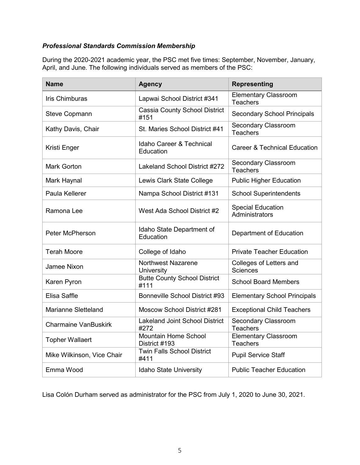#### *Professional Standards Commission Membership*

 During the 2020-2021 academic year, the PSC met five times: September, November, January, April, and June. The following individuals served as members of the PSC:

| <b>Name</b>                 | <b>Agency</b>                                    | <b>Representing</b>                            |
|-----------------------------|--------------------------------------------------|------------------------------------------------|
| <b>Iris Chimburas</b>       | Lapwai School District #341                      | <b>Elementary Classroom</b><br><b>Teachers</b> |
| <b>Steve Copmann</b>        | <b>Cassia County School District</b><br>#151     | <b>Secondary School Principals</b>             |
| Kathy Davis, Chair          | St. Maries School District #41                   | <b>Secondary Classroom</b><br><b>Teachers</b>  |
| Kristi Enger                | <b>Idaho Career &amp; Technical</b><br>Education | <b>Career &amp; Technical Education</b>        |
| <b>Mark Gorton</b>          | Lakeland School District #272                    | <b>Secondary Classroom</b><br><b>Teachers</b>  |
| Mark Haynal                 | Lewis Clark State College                        | <b>Public Higher Education</b>                 |
| Paula Kellerer              | Nampa School District #131                       | <b>School Superintendents</b>                  |
| Ramona Lee                  | West Ada School District #2                      | <b>Special Education</b><br>Administrators     |
| <b>Peter McPherson</b>      | Idaho State Department of<br>Education           | Department of Education                        |
| <b>Terah Moore</b>          | College of Idaho                                 | <b>Private Teacher Education</b>               |
| <b>Jamee Nixon</b>          | <b>Northwest Nazarene</b><br><b>University</b>   | Colleges of Letters and<br><b>Sciences</b>     |
| Karen Pyron                 | <b>Butte County School District</b><br>#111      | <b>School Board Members</b>                    |
| <b>Elisa Saffle</b>         | Bonneville School District #93                   | <b>Elementary School Principals</b>            |
| <b>Marianne Sletteland</b>  | Moscow School District #281                      | <b>Exceptional Child Teachers</b>              |
| <b>Charmaine VanBuskirk</b> | <b>Lakeland Joint School District</b><br>#272    | <b>Secondary Classroom</b><br><b>Teachers</b>  |
| <b>Topher Wallaert</b>      | Mountain Home School<br>District #193            | <b>Elementary Classroom</b><br><b>Teachers</b> |
| Mike Wilkinson, Vice Chair  | <b>Twin Falls School District</b><br>#411        | <b>Pupil Service Staff</b>                     |
| Emma Wood                   | Idaho State University                           | <b>Public Teacher Education</b>                |

Lisa Colón Durham served as administrator for the PSC from July 1, 2020 to June 30, 2021.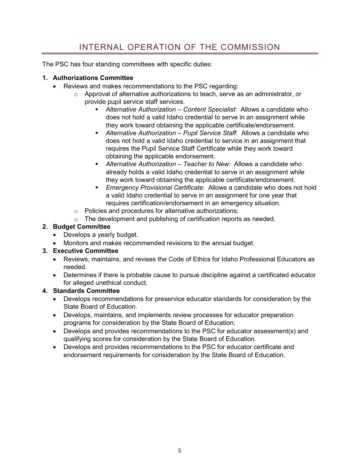# INTERNAL OPERATION OF THE COMMISSION

<span id="page-5-0"></span>The PSC has four standing committees with specific duties:

#### **1. Authorizations Committee**

- • Reviews and makes recommendations to the PSC regarding:
	- $\circ$  Approval of alternative authorizations to teach, serve as an administrator, or provide pupil service staff services.
		- *Alternative Authorization Content Specialist*: Allows a candidate who does not hold a valid Idaho credential to serve in an assignment while they work toward obtaining the applicable certificate/endorsement.
		- *Alternative Authorization Pupil Service Staff*: Allows a candidate who does not hold a valid Idaho credential to service in an assignment that requires the Pupil Service Staff Certificate while they work toward obtaining the applicable endorsement.
		- **E** Alternative Authorization Teacher to New: Allows a candidate who already holds a valid Idaho credential to serve in an assignment while they work toward obtaining the applicable certificate/endorsement.
		- *Emergency Provisional Certificate*: Allows a candidate who does not hold a valid Idaho credential to serve in an assignment for one year that requires certification/endorsement in an emergency situation.
	- o Policies and procedures for alternative authorizations;
	- o The development and publishing of certification reports as needed.

#### **2. Budget Committee**

- Develops a yearly budget.
- Monitors and makes recommended revisions to the annual budget.

#### **3. Executive Committee**

- • Reviews, maintains, and revises the Code of Ethics for Idaho Professional Educators as needed.
- Determines if there is probable cause to pursue discipline against a certificated educator for alleged unethical conduct.

#### **4. Standards Committee**

- Develops recommendations for preservice educator standards for consideration by the State Board of Education.
- Develops, maintains, and implements review processes for educator preparation programs for consideration by the State Board of Education;
- • Develops and provides recommendations to the PSC for educator assessment(s) and qualifying scores for consideration by the State Board of Education.
- Develops and provides recommendations to the PSC for educator certificate and endorsement requirements for consideration by the State Board of Education.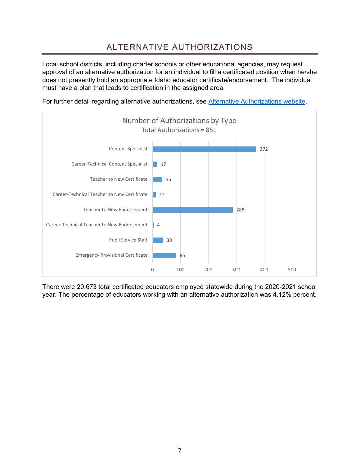# ALTERNATIVE AUTHORIZATIONS

<span id="page-6-0"></span> Local school districts, including charter schools or other educational agencies, may request approval of an alternative authorization for an individual to fill a certificated position when he/she does not presently hold an appropriate Idaho educator certificate/endorsement. The individual must have a plan that leads to certification in the assigned area.





There were 20,673 total certificated educators employed statewide during the 2020-2021 school year. The percentage of educators working with an alternative authorization was 4.12% percent.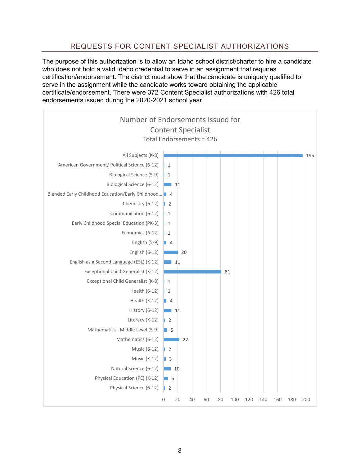#### REQUESTS FOR CONTENT SPECIALIST AUTHORIZATIONS

<span id="page-7-0"></span> who does not hold a valid Idaho credential to serve in an assignment that requires The purpose of this authorization is to allow an Idaho school district/charter to hire a candidate certification/endorsement. The district must show that the candidate is uniquely qualified to serve in the assignment while the candidate works toward obtaining the applicable certificate/endorsement. There were 372 Content Specialist authorizations with 426 total endorsements issued during the 2020-2021 school year.

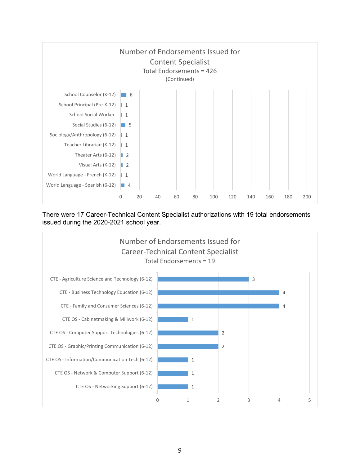

There were 17 Career-Technical Content Specialist authorizations with 19 total endorsements issued during the 2020-2021 school year.

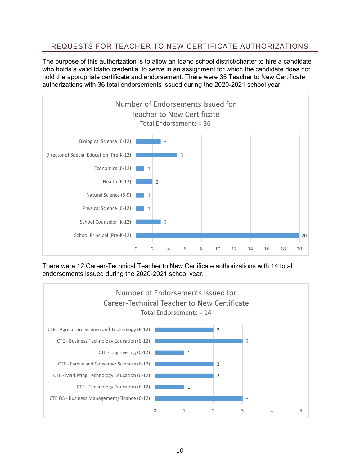#### <span id="page-9-0"></span>REQUESTS FOR TEACHER TO NEW CERTIFICATE AUTHORIZATIONS

 authorizations with 36 total endorsements issued during the 2020-2021 school year. The purpose of this authorization is to allow an Idaho school district/charter to hire a candidate who holds a valid Idaho credential to serve in an assignment for which the candidate does not hold the appropriate certificate and endorsement. There were 35 Teacher to New Certificate



There were 12 Career-Technical Teacher to New Certificate authorizations with 14 total endorsements issued during the 2020-2021 school year.

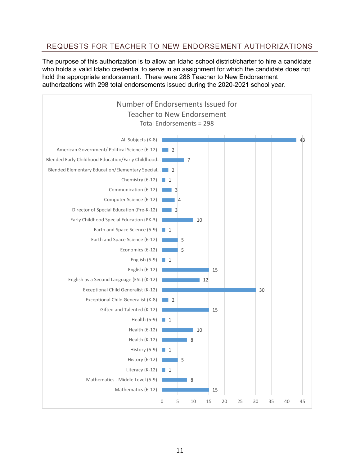#### <span id="page-10-0"></span>REQUESTS FOR TEACHER TO NEW ENDORSEMENT AUTHORIZATIONS

The purpose of this authorization is to allow an Idaho school district/charter to hire a candidate who holds a valid Idaho credential to serve in an assignment for which the candidate does not hold the appropriate endorsement. There were 288 Teacher to New Endorsement authorizations with 298 total endorsements issued during the 2020-2021 school year.

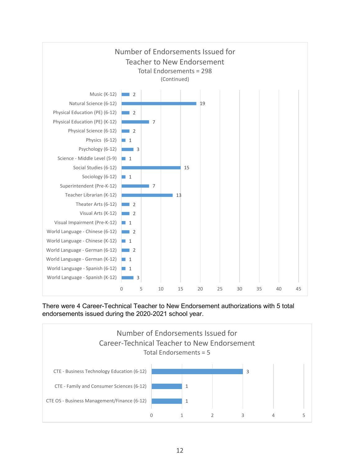

There were 4 Career-Technical Teacher to New Endorsement authorizations with 5 total endorsements issued during the 2020-2021 school year.

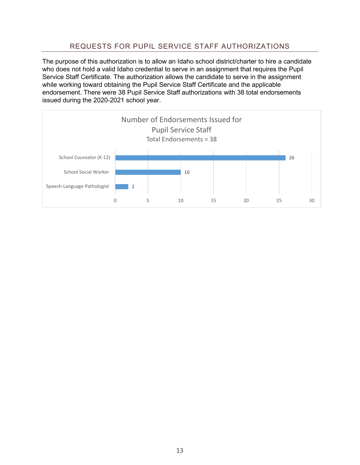#### REQUESTS FOR PUPIL SERVICE STAFF AUTHORIZATIONS

<span id="page-12-0"></span> who does not hold a valid Idaho credential to serve in an assignment that requires the Pupil The purpose of this authorization is to allow an Idaho school district/charter to hire a candidate Service Staff Certificate. The authorization allows the candidate to serve in the assignment while working toward obtaining the Pupil Service Staff Certificate and the applicable endorsement. There were 38 Pupil Service Staff authorizations with 38 total endorsements issued during the 2020-2021 school year.

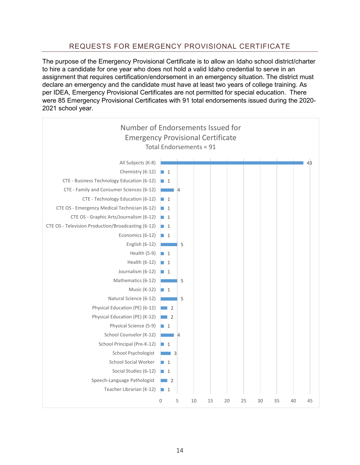#### REQUESTS FOR EMERGENCY PROVISIONAL CERTIFICATE

<span id="page-13-0"></span> per IDEA, Emergency Provisional Certificates are not permitted for special education. There were 85 Emergency Provisional Certificates with 91 total endorsements issued during the 2020- The purpose of the Emergency Provisional Certificate is to allow an Idaho school district/charter to hire a candidate for one year who does not hold a valid Idaho credential to serve in an assignment that requires certification/endorsement in an emergency situation. The district must declare an emergency and the candidate must have at least two years of college training. As 2021 school year.

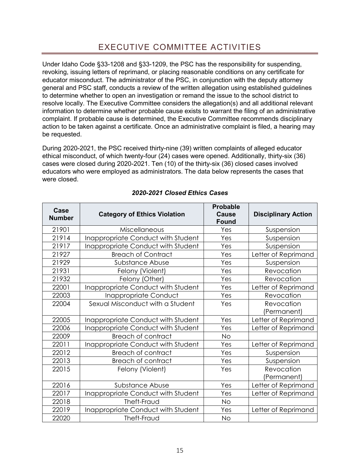## EXECUTIVE COMMITTEE ACTIVITIES

<span id="page-14-0"></span> revoking, issuing letters of reprimand, or placing reasonable conditions on any certificate for to determine whether to open an investigation or remand the issue to the school district to Under Idaho Code §33-1208 and §33-1209, the PSC has the responsibility for suspending, educator misconduct. The administrator of the PSC, in conjunction with the deputy attorney general and PSC staff, conducts a review of the written allegation using established guidelines resolve locally. The Executive Committee considers the allegation(s) and all additional relevant information to determine whether probable cause exists to warrant the filing of an administrative complaint. If probable cause is determined, the Executive Committee recommends disciplinary action to be taken against a certificate. Once an administrative complaint is filed, a hearing may be requested.

 During 2020-2021, the PSC received thirty-nine (39) written complaints of alleged educator cases were closed during 2020-2021. Ten (10) of the thirty-six (36) closed cases involved educators who were employed as administrators. The data below represents the cases that ethical misconduct, of which twenty-four (24) cases were opened. Additionally, thirty-six (36) were closed.

| Case<br><b>Number</b> | <b>Category of Ethics Violation</b> | <b>Probable</b><br><b>Cause</b><br><b>Found</b> | <b>Disciplinary Action</b> |
|-----------------------|-------------------------------------|-------------------------------------------------|----------------------------|
| 21901                 | Miscellaneous                       | Yes                                             | Suspension                 |
| 21914                 | Inappropriate Conduct with Student  | Yes                                             | Suspension                 |
| 21917                 | Inappropriate Conduct with Student  | Yes                                             | Suspension                 |
| 21927                 | <b>Breach of Contract</b>           | Yes                                             | Letter of Reprimand        |
| 21929                 | Substance Abuse                     | Yes                                             | Suspension                 |
| 21931                 | Felony (Violent)                    | Yes                                             | Revocation                 |
| 21932                 | Felony (Other)                      | Yes                                             | Revocation                 |
| 22001                 | Inappropriate Conduct with Student  | Yes                                             | Letter of Reprimand        |
| 22003                 | Inappropriate Conduct               | Yes                                             | Revocation                 |
| 22004                 | Sexual Misconduct with a Student    | Yes                                             | Revocation<br>(Permanent)  |
| 22005                 | Inappropriate Conduct with Student  | Yes                                             | Letter of Reprimand        |
| 22006                 | Inappropriate Conduct with Student  | Yes                                             | Letter of Reprimand        |
| 22009                 | <b>Breach of contract</b>           | No                                              |                            |
| 22011                 | Inappropriate Conduct with Student  | Yes                                             | Letter of Reprimand        |
| 22012                 | <b>Breach of contract</b>           | Yes                                             | Suspension                 |
| 22013                 | <b>Breach of contract</b>           | Yes                                             | Suspension                 |
| 22015                 | Felony (Violent)                    | Yes                                             | Revocation                 |
|                       |                                     |                                                 | (Permanent)                |
| 22016                 | Substance Abuse                     | Yes                                             | Letter of Reprimand        |
| 22017                 | Inappropriate Conduct with Student  | Yes                                             | Letter of Reprimand        |
| 22018                 | Theft-Fraud                         | No                                              |                            |
| 22019                 | Inappropriate Conduct with Student  | Yes                                             | Letter of Reprimand        |
| 22020                 | Theft-Fraud                         | No                                              |                            |

#### *2020-2021 Closed Ethics Cases*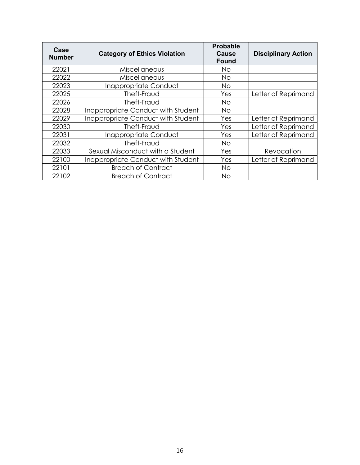| Case<br><b>Number</b> | <b>Category of Ethics Violation</b> | <b>Probable</b><br><b>Cause</b><br><b>Found</b> | <b>Disciplinary Action</b> |
|-----------------------|-------------------------------------|-------------------------------------------------|----------------------------|
| 22021                 | <b>Miscellaneous</b>                | Νo                                              |                            |
| 22022                 | Miscellaneous                       | <b>No</b>                                       |                            |
| 22023                 | Inappropriate Conduct               | Νo                                              |                            |
| 22025                 | Theft-Fraud                         | Yes                                             | Letter of Reprimand        |
| 22026                 | Theft-Fraud                         | No                                              |                            |
| 22028                 | Inappropriate Conduct with Student  | <b>No</b>                                       |                            |
| 22029                 | Inappropriate Conduct with Student  | Yes                                             | Letter of Reprimand        |
| 22030                 | Theft-Fraud                         | Yes                                             | Letter of Reprimand        |
| 22031                 | Inappropriate Conduct               | Yes                                             | Letter of Reprimand        |
| 22032                 | Theft-Fraud                         | No.                                             |                            |
| 22033                 | Sexual Misconduct with a Student    | Yes                                             | Revocation                 |
| 22100                 | Inappropriate Conduct with Student  | Yes                                             | Letter of Reprimand        |
| 22101                 | <b>Breach of Contract</b>           | <b>No</b>                                       |                            |
| 22102                 | <b>Breach of Contract</b>           | No                                              |                            |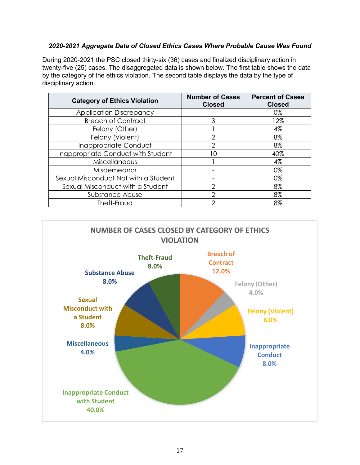#### *2020-2021 Aggregate Data of Closed Ethics Cases Where Probable Cause Was Found*

 twenty-five (25) cases. The disaggregated data is shown below. The first table shows the data by the category of the ethics violation. The second table displays the data by the type of During 2020-2021 the PSC closed thirty-six (36) cases and finalized disciplinary action in disciplinary action.

| <b>Category of Ethics Violation</b>  | <b>Number of Cases</b><br><b>Closed</b> | <b>Percent of Cases</b><br><b>Closed</b> |
|--------------------------------------|-----------------------------------------|------------------------------------------|
| <b>Application Discrepancy</b>       |                                         | 0%                                       |
| <b>Breach of Contract</b>            | 3                                       | 12%                                      |
| Felony (Other)                       |                                         | 4%                                       |
| Felony (Violent)                     | 2                                       | 8%                                       |
| Inappropriate Conduct                | 2                                       | 8%                                       |
| Inappropriate Conduct with Student   | 10                                      | 40%                                      |
| Miscellaneous                        |                                         | 4%                                       |
| Misdemeanor                          |                                         | 0%                                       |
| Sexual Misconduct Not with a Student |                                         | 0%                                       |
| Sexual Misconduct with a Student     | っ                                       | 8%                                       |
| Substance Abuse                      | 2                                       | 8%                                       |
| Theft-Fraud                          | っ                                       | 8%                                       |

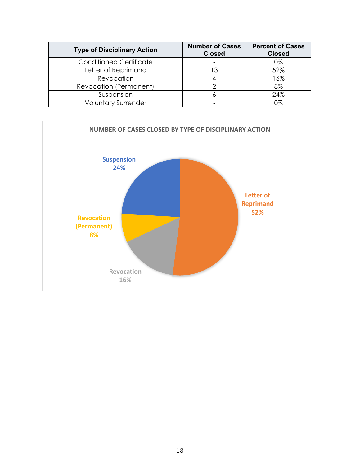| <b>Type of Disciplinary Action</b> | <b>Number of Cases</b><br><b>Closed</b> | <b>Percent of Cases</b><br><b>Closed</b> |
|------------------------------------|-----------------------------------------|------------------------------------------|
| <b>Conditioned Certificate</b>     |                                         | 0%                                       |
| Letter of Reprimand                |                                         | 52%                                      |
| Revocation                         |                                         | 16%                                      |
| Revocation (Permanent)             |                                         | 8%                                       |
| Suspension                         |                                         | 24%                                      |
| <b>Voluntary Surrender</b>         |                                         | 0%                                       |

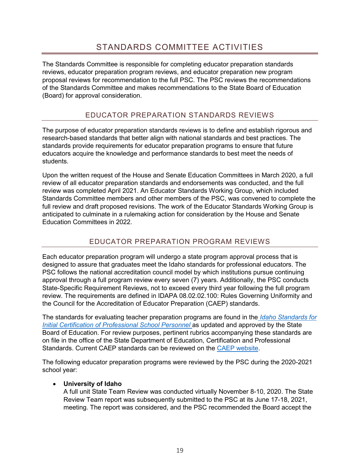<span id="page-18-0"></span> proposal reviews for recommendation to the full PSC. The PSC reviews the recommendations The Standards Committee is responsible for completing educator preparation standards reviews, educator preparation program reviews, and educator preparation new program of the Standards Committee and makes recommendations to the State Board of Education (Board) for approval consideration.

#### EDUCATOR PREPARATION STANDARDS REVIEWS

<span id="page-18-1"></span> The purpose of educator preparation standards reviews is to define and establish rigorous and research-based standards that better align with national standards and best practices. The standards provide requirements for educator preparation programs to ensure that future educators acquire the knowledge and performance standards to best meet the needs of students.

 review of all educator preparation standards and endorsements was conducted, and the full Upon the written request of the House and Senate Education Committees in March 2020, a full review was completed April 2021. An Educator Standards Working Group, which included Standards Committee members and other members of the PSC, was convened to complete the full review and draft proposed revisions. The work of the Educator Standards Working Group is anticipated to culminate in a rulemaking action for consideration by the House and Senate Education Committees in 2022.

### EDUCATOR PREPARATION PROGRAM REVIEWS

<span id="page-18-2"></span> Each educator preparation program will undergo a state program approval process that is State-Specific Requirement Reviews, not to exceed every third year following the full program the Council for the Accreditation of Educator Preparation (CAEP) standards. designed to assure that graduates meet the Idaho standards for professional educators. The PSC follows the national accreditation council model by which institutions pursue continuing approval through a full program review every seven (7) years. Additionally, the PSC conducts review. The requirements are defined in IDAPA 08.02.02.100: Rules Governing Uniformity and

The standards for evaluating teacher preparation programs are found in the *[Idaho Standards for](https://www.sde.idaho.gov/cert-psc/psc/standards/files/standards-initial/Standards-for-Initial-Certification-for-Program-Reviews-after-July-1-2022.pdf)  Initial Certification of Professional School Personnel* as updated and approved by the State Board of Education. For review purposes, pertinent rubrics accompanying these standards are on file in the office of the State Department of Education, Certification and Professional Standards. Current CAEP standards can be reviewed on the [CAEP website.](http://caepnet.org/)

The following educator preparation programs were reviewed by the PSC during the 2020-2021 school year:

#### • **University of Idaho**

 A full unit State Team Review was conducted virtually November 8-10, 2020. The State Review Team report was subsequently submitted to the PSC at its June 17-18, 2021, meeting. The report was considered, and the PSC recommended the Board accept the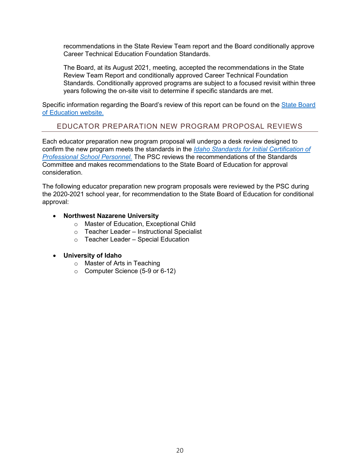recommendations in the State Review Team report and the Board conditionally approve Career Technical Education Foundation Standards.

 Standards. Conditionally approved programs are subject to a focused revisit within three The Board, at its August 2021, meeting, accepted the recommendations in the State Review Team Report and conditionally approved Career Technical Foundation years following the on-site visit to determine if specific standards are met.

Specific information regarding the Board's review of this report can be found on the <u>State Board</u> [of Education website.](https://boardofed.idaho.gov/news-events/category/meetings/board-meeting/list/?tribe_event_display=past) 

#### <span id="page-19-0"></span>EDUCATOR PREPARATION NEW PROGRAM PROPOSAL REVIEWS

 confirm the new program meets the standards in the *[Idaho Standards for Initial Certification of](https://www.sde.idaho.gov/cert-psc/psc/standards/files/standards-initial/Standards-for-Initial-Certification-for-Program-Reviews-after-July-1-2022.pdf)  [Professional School Personnel.](https://www.sde.idaho.gov/cert-psc/psc/standards/files/standards-initial/Standards-for-Initial-Certification-for-Program-Reviews-after-July-1-2022.pdf)* The PSC reviews the recommendations of the Standards Each educator preparation new program proposal will undergo a desk review designed to Committee and makes recommendations to the State Board of Education for approval consideration.

 the 2020-2021 school year, for recommendation to the State Board of Education for conditional The following educator preparation new program proposals were reviewed by the PSC during approval:

#### • **Northwest Nazarene University**

- o Master of Education, Exceptional Child
- o Teacher Leader Instructional Specialist
- o Teacher Leader Special Education

#### • **University of Idaho**

- o Master of Arts in Teaching
- o Computer Science (5-9 or 6-12)